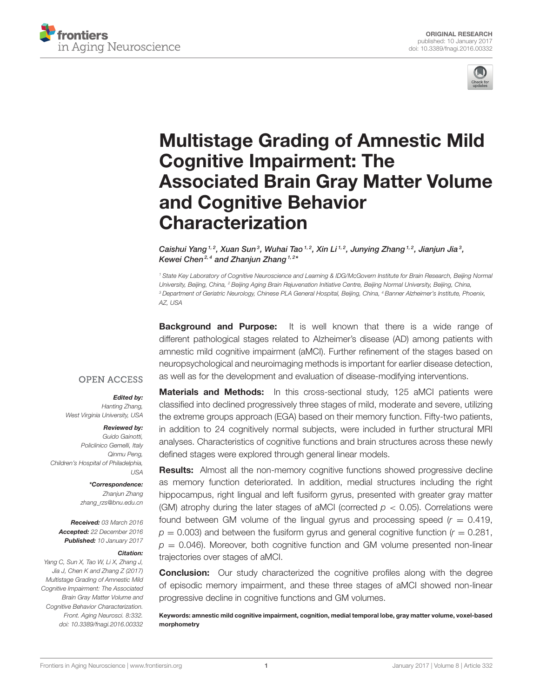



# Multistage Grading of Amnestic Mild Cognitive Impairment: The [Associated Brain Gray Matter Volume](http://journal.frontiersin.org/article/10.3389/fnagi.2016.00332/abstract) and Cognitive Behavior Characterization

[Caishui Yang](http://loop.frontiersin.org/people/327917/overview)<sup>1,2</sup>, Xuan Sun<sup>3</sup>, Wuhai Tao<sup>1,2</sup>, [Xin Li](http://loop.frontiersin.org/people/299101/overview)<sup>1,2</sup>, Junying Zhang<sup>1,2</sup>, Jianjun Jia<sup>3</sup>, [Kewei Chen](http://loop.frontiersin.org/people/155711/overview)<sup>2,4</sup> and [Zhanjun Zhang](http://loop.frontiersin.org/people/258043/overview) <sup>1,2\*</sup>

*<sup>1</sup> State Key Laboratory of Cognitive Neuroscience and Learning & IDG/McGovern Institute for Brain Research, Beijing Normal University, Beijing, China, <sup>2</sup> Beijing Aging Brain Rejuvenation Initiative Centre, Beijing Normal University, Beijing, China, <sup>3</sup> Department of Geriatric Neurology, Chinese PLA General Hospital, Beijing, China, <sup>4</sup> Banner Alzheimer's Institute, Phoenix, AZ, USA*

**Background and Purpose:** It is well known that there is a wide range of different pathological stages related to Alzheimer's disease (AD) among patients with amnestic mild cognitive impairment (aMCI). Further refinement of the stages based on neuropsychological and neuroimaging methods is important for earlier disease detection, as well as for the development and evaluation of disease-modifying interventions.

#### **OPEN ACCESS**

#### Edited by:

*Hanting Zhang, West Virginia University, USA*

#### Reviewed by:

*Guido Gainotti, Policlinico Gemelli, Italy Qinmu Peng, Children's Hospital of Philadelphia, USA*

> \*Correspondence: *Zhanjun Zhang [zhang\\_rzs@bnu.edu.cn](mailto:zhang_rzs@bnu.edu.cn)*

Received: *03 March 2016* Accepted: *22 December 2016* Published: *10 January 2017*

#### Citation:

*Yang C, Sun X, Tao W, Li X, Zhang J, Jia J, Chen K and Zhang Z (2017) Multistage Grading of Amnestic Mild Cognitive Impairment: The Associated Brain Gray Matter Volume and Cognitive Behavior Characterization. Front. Aging Neurosci. 8:332. doi: [10.3389/fnagi.2016.00332](https://doi.org/10.3389/fnagi.2016.00332)*

**Materials and Methods:** In this cross-sectional study, 125 aMCI patients were classified into declined progressively three stages of mild, moderate and severe, utilizing the extreme groups approach (EGA) based on their memory function. Fifty-two patients, in addition to 24 cognitively normal subjects, were included in further structural MRI analyses. Characteristics of cognitive functions and brain structures across these newly defined stages were explored through general linear models.

Results: Almost all the non-memory cognitive functions showed progressive decline as memory function deteriorated. In addition, medial structures including the right hippocampus, right lingual and left fusiform gyrus, presented with greater gray matter (GM) atrophy during the later stages of aMCI (corrected  $p < 0.05$ ). Correlations were found between GM volume of the lingual gyrus and processing speed  $(r = 0.419)$ .  $p = 0.003$ ) and between the fusiform gyrus and general cognitive function ( $r = 0.281$ ,  $p = 0.046$ ). Moreover, both cognitive function and GM volume presented non-linear trajectories over stages of aMCI.

**Conclusion:** Our study characterized the cognitive profiles along with the degree of episodic memory impairment, and these three stages of aMCI showed non-linear progressive decline in cognitive functions and GM volumes.

Keywords: amnestic mild cognitive impairment, cognition, medial temporal lobe, gray matter volume, voxel-based morphometry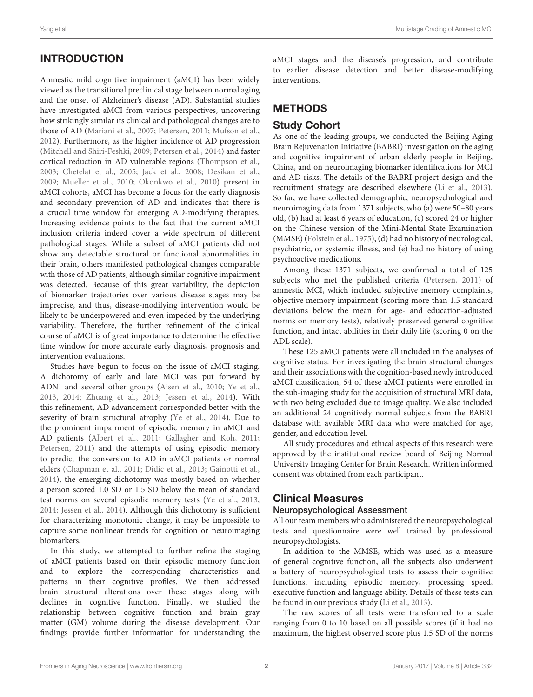# INTRODUCTION

Amnestic mild cognitive impairment (aMCI) has been widely viewed as the transitional preclinical stage between normal aging and the onset of Alzheimer's disease (AD). Substantial studies have investigated aMCI from various perspectives, uncovering how strikingly similar its clinical and pathological changes are to those of AD [\(Mariani et al., 2007;](#page-7-0) [Petersen, 2011;](#page-7-1) [Mufson et al.,](#page-7-2) [2012\)](#page-7-2). Furthermore, as the higher incidence of AD progression [\(Mitchell and Shiri-Feshki, 2009;](#page-7-3) [Petersen et al., 2014\)](#page-7-4) and faster cortical reduction in AD vulnerable regions [\(Thompson et al.,](#page-7-5) [2003;](#page-7-5) [Chetelat et al., 2005;](#page-7-6) [Jack et al., 2008;](#page-7-7) [Desikan et al.,](#page-7-8) [2009;](#page-7-8) [Mueller et al., 2010;](#page-7-9) [Okonkwo et al., 2010\)](#page-7-10) present in aMCI cohorts, aMCI has become a focus for the early diagnosis and secondary prevention of AD and indicates that there is a crucial time window for emerging AD-modifying therapies. Increasing evidence points to the fact that the current aMCI inclusion criteria indeed cover a wide spectrum of different pathological stages. While a subset of aMCI patients did not show any detectable structural or functional abnormalities in their brain, others manifested pathological changes comparable with those of AD patients, although similar cognitive impairment was detected. Because of this great variability, the depiction of biomarker trajectories over various disease stages may be imprecise, and thus, disease-modifying intervention would be likely to be underpowered and even impeded by the underlying variability. Therefore, the further refinement of the clinical course of aMCI is of great importance to determine the effective time window for more accurate early diagnosis, prognosis and intervention evaluations.

Studies have begun to focus on the issue of aMCI staging. A dichotomy of early and late MCI was put forward by ADNI and several other groups [\(Aisen et al., 2010;](#page-6-0) [Ye et al.,](#page-7-11) [2013,](#page-7-11) [2014;](#page-7-12) [Zhuang et al., 2013;](#page-7-13) [Jessen et al., 2014\)](#page-7-14). With this refinement, AD advancement corresponded better with the severity of brain structural atrophy [\(Ye et al., 2014\)](#page-7-12). Due to the prominent impairment of episodic memory in aMCI and AD patients [\(Albert et al., 2011;](#page-6-1) [Gallagher and Koh, 2011;](#page-7-15) [Petersen, 2011\)](#page-7-1) and the attempts of using episodic memory to predict the conversion to AD in aMCI patients or normal elders [\(Chapman et al., 2011;](#page-7-16) [Didic et al., 2013;](#page-7-17) [Gainotti et al.,](#page-7-18) [2014\)](#page-7-18), the emerging dichotomy was mostly based on whether a person scored 1.0 SD or 1.5 SD below the mean of standard test norms on several episodic memory tests [\(Ye et al., 2013,](#page-7-11) [2014;](#page-7-12) [Jessen et al., 2014\)](#page-7-14). Although this dichotomy is sufficient for characterizing monotonic change, it may be impossible to capture some nonlinear trends for cognition or neuroimaging biomarkers.

In this study, we attempted to further refine the staging of aMCI patients based on their episodic memory function and to explore the corresponding characteristics and patterns in their cognitive profiles. We then addressed brain structural alterations over these stages along with declines in cognitive function. Finally, we studied the relationship between cognitive function and brain gray matter (GM) volume during the disease development. Our findings provide further information for understanding the aMCI stages and the disease's progression, and contribute to earlier disease detection and better disease-modifying interventions.

# **METHODS**

### Study Cohort

As one of the leading groups, we conducted the Beijing Aging Brain Rejuvenation Initiative (BABRI) investigation on the aging and cognitive impairment of urban elderly people in Beijing, China, and on neuroimaging biomarker identifications for MCI and AD risks. The details of the BABRI project design and the recruitment strategy are described elsewhere [\(Li et al., 2013\)](#page-7-19). So far, we have collected demographic, neuropsychological and neuroimaging data from 1371 subjects, who (a) were 50–80 years old, (b) had at least 6 years of education, (c) scored 24 or higher on the Chinese version of the Mini-Mental State Examination (MMSE) [\(Folstein et al., 1975\)](#page-7-20), (d) had no history of neurological, psychiatric, or systemic illness, and (e) had no history of using psychoactive medications.

Among these 1371 subjects, we confirmed a total of 125 subjects who met the published criteria [\(Petersen, 2011\)](#page-7-1) of amnestic MCI, which included subjective memory complaints, objective memory impairment (scoring more than 1.5 standard deviations below the mean for age- and education-adjusted norms on memory tests), relatively preserved general cognitive function, and intact abilities in their daily life (scoring 0 on the ADL scale).

These 125 aMCI patients were all included in the analyses of cognitive status. For investigating the brain structural changes and their associations with the cognition-based newly introduced aMCI classification, 54 of these aMCI patients were enrolled in the sub-imaging study for the acquisition of structural MRI data, with two being excluded due to image quality. We also included an additional 24 cognitively normal subjects from the BABRI database with available MRI data who were matched for age, gender, and education level.

All study procedures and ethical aspects of this research were approved by the institutional review board of Beijing Normal University Imaging Center for Brain Research. Written informed consent was obtained from each participant.

### Clinical Measures

#### Neuropsychological Assessment

All our team members who administered the neuropsychological tests and questionnaire were well trained by professional neuropsychologists.

In addition to the MMSE, which was used as a measure of general cognitive function, all the subjects also underwent a battery of neuropsychological tests to assess their cognitive functions, including episodic memory, processing speed, executive function and language ability. Details of these tests can be found in our previous study [\(Li et al., 2013\)](#page-7-19).

The raw scores of all tests were transformed to a scale ranging from 0 to 10 based on all possible scores (if it had no maximum, the highest observed score plus 1.5 SD of the norms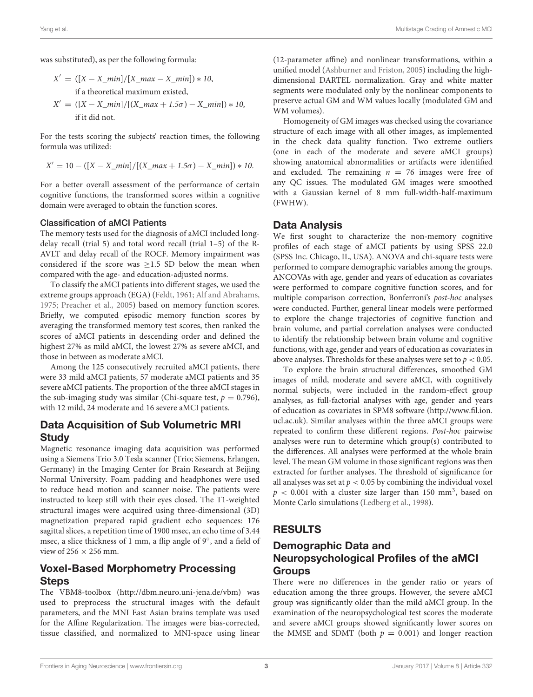was substituted), as per the following formula:

$$
X' = ([X - X\_min]/[X\_max - X\_min]) * 10,
$$
  
if a theoretical maximum existed,

$$
X' = ([X - X\_min]/[(X\_max + 1.5\sigma) - X\_min]) * 10,
$$
  
if it did not.

For the tests scoring the subjects' reaction times, the following formula was utilized:

$$
X' = 10 - ([X - X\_min]/[(X\_max + 1.5\sigma) - X\_min]) * 10.
$$

For a better overall assessment of the performance of certain cognitive functions, the transformed scores within a cognitive domain were averaged to obtain the function scores.

#### Classification of aMCI Patients

The memory tests used for the diagnosis of aMCI included longdelay recall (trial 5) and total word recall (trial 1–5) of the R-AVLT and delay recall of the ROCF. Memory impairment was considered if the score was ≥1.5 SD below the mean when compared with the age- and education-adjusted norms.

To classify the aMCI patients into different stages, we used the extreme groups approach (EGA) [\(Feldt, 1961;](#page-7-21) [Alf and Abrahams,](#page-6-2) [1975;](#page-6-2) [Preacher et al., 2005\)](#page-7-22) based on memory function scores. Briefly, we computed episodic memory function scores by averaging the transformed memory test scores, then ranked the scores of aMCI patients in descending order and defined the highest 27% as mild aMCI, the lowest 27% as severe aMCI, and those in between as moderate aMCI.

Among the 125 consecutively recruited aMCI patients, there were 33 mild aMCI patients, 57 moderate aMCI patients and 35 severe aMCI patients. The proportion of the three aMCI stages in the sub-imaging study was similar (Chi-square test,  $p = 0.796$ ), with 12 mild, 24 moderate and 16 severe aMCI patients.

#### Data Acquisition of Sub Volumetric MRI Study

Magnetic resonance imaging data acquisition was performed using a Siemens Trio 3.0 Tesla scanner (Trio; Siemens, Erlangen, Germany) in the Imaging Center for Brain Research at Beijing Normal University. Foam padding and headphones were used to reduce head motion and scanner noise. The patients were instructed to keep still with their eyes closed. The T1-weighted structural images were acquired using three-dimensional (3D) magnetization prepared rapid gradient echo sequences: 176 sagittal slices, a repetition time of 1900 msec, an echo time of 3.44 msec, a slice thickness of 1 mm, a flip angle of 9◦ , and a field of view of  $256 \times 256$  mm.

#### Voxel-Based Morphometry Processing **Steps**

The VBM8-toolbox [\(http://dbm.neuro.uni-jena.de/vbm\)](http://dbm.neuro.uni-jena.de/vbm) was used to preprocess the structural images with the default parameters, and the MNI East Asian brains template was used for the Affine Regularization. The images were bias-corrected, tissue classified, and normalized to MNI-space using linear (12-parameter affine) and nonlinear transformations, within a unified model [\(Ashburner and Friston, 2005\)](#page-6-3) including the highdimensional DARTEL normalization. Gray and white matter segments were modulated only by the nonlinear components to preserve actual GM and WM values locally (modulated GM and WM volumes).

Homogeneity of GM images was checked using the covariance structure of each image with all other images, as implemented in the check data quality function. Two extreme outliers (one in each of the moderate and severe aMCI groups) showing anatomical abnormalities or artifacts were identified and excluded. The remaining  $n = 76$  images were free of any QC issues. The modulated GM images were smoothed with a Gaussian kernel of 8 mm full-width-half-maximum (FWHW).

#### Data Analysis

We first sought to characterize the non-memory cognitive profiles of each stage of aMCI patients by using SPSS 22.0 (SPSS Inc. Chicago, IL, USA). ANOVA and chi-square tests were performed to compare demographic variables among the groups. ANCOVAs with age, gender and years of education as covariates were performed to compare cognitive function scores, and for multiple comparison correction, Bonferroni's post-hoc analyses were conducted. Further, general linear models were performed to explore the change trajectories of cognitive function and brain volume, and partial correlation analyses were conducted to identify the relationship between brain volume and cognitive functions, with age, gender and years of education as covariates in above analyses. Thresholds for these analyses were set to  $p < 0.05$ .

To explore the brain structural differences, smoothed GM images of mild, moderate and severe aMCI, with cognitively normal subjects, were included in the random-effect group analyses, as full-factorial analyses with age, gender and years of education as covariates in SPM8 software [\(http://www.fil.ion.](http://www.fil.ion.ucl.ac.uk) [ucl.ac.uk\)](http://www.fil.ion.ucl.ac.uk). Similar analyses within the three aMCI groups were repeated to confirm these different regions. Post-hoc pairwise analyses were run to determine which group(s) contributed to the differences. All analyses were performed at the whole brain level. The mean GM volume in those significant regions was then extracted for further analyses. The threshold of significance for all analyses was set at  $p < 0.05$  by combining the individual voxel  $p < 0.001$  with a cluster size larger than 150 mm<sup>3</sup>, based on Monte Carlo simulations [\(Ledberg et al., 1998\)](#page-7-23).

### RESULTS

### Demographic Data and Neuropsychological Profiles of the aMCI **Groups**

There were no differences in the gender ratio or years of education among the three groups. However, the severe aMCI group was significantly older than the mild aMCI group. In the examination of the neuropsychological test scores the moderate and severe aMCI groups showed significantly lower scores on the MMSE and SDMT (both  $p = 0.001$ ) and longer reaction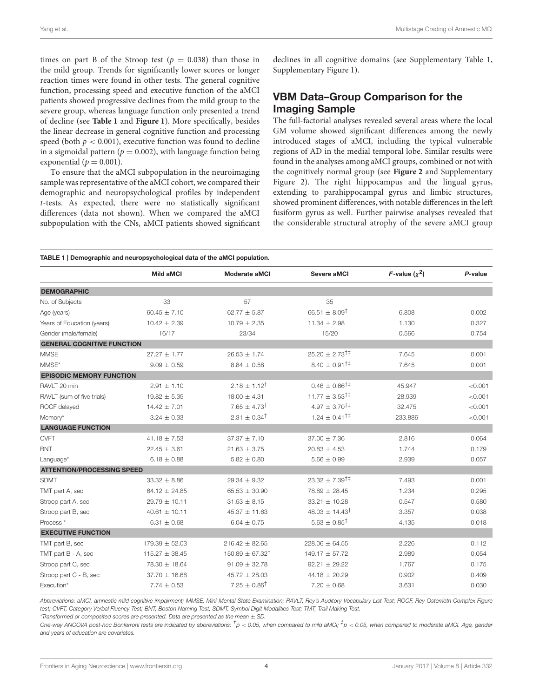times on part B of the Stroop test ( $p = 0.038$ ) than those in the mild group. Trends for significantly lower scores or longer reaction times were found in other tests. The general cognitive function, processing speed and executive function of the aMCI patients showed progressive declines from the mild group to the severe group, whereas language function only presented a trend of decline (see **[Table 1](#page-3-0)** and **[Figure 1](#page-4-0)**). More specifically, besides the linear decrease in general cognitive function and processing speed (both  $p < 0.001$ ), executive function was found to decline in a sigmoidal pattern ( $p = 0.002$ ), with language function being exponential ( $p = 0.001$ ).

To ensure that the aMCI subpopulation in the neuroimaging sample was representative of the aMCI cohort, we compared their demographic and neuropsychological profiles by independent t-tests. As expected, there were no statistically significant differences (data not shown). When we compared the aMCI subpopulation with the CNs, aMCI patients showed significant declines in all cognitive domains (see Supplementary Table 1, Supplementary Figure 1).

### VBM Data–Group Comparison for the Imaging Sample

The full-factorial analyses revealed several areas where the local GM volume showed significant differences among the newly introduced stages of aMCI, including the typical vulnerable regions of AD in the medial temporal lobe. Similar results were found in the analyses among aMCI groups, combined or not with the cognitively normal group (see **[Figure 2](#page-4-1)** and Supplementary Figure 2). The right hippocampus and the lingual gyrus, extending to parahippocampal gyrus and limbic structures, showed prominent differences, with notable differences in the left fusiform gyrus as well. Further pairwise analyses revealed that the considerable structural atrophy of the severe aMCI group

<span id="page-3-0"></span>

| TABLE 1   Demographic and neuropsychological data of the aMCI population. |                    |                              |                                     |                 |         |
|---------------------------------------------------------------------------|--------------------|------------------------------|-------------------------------------|-----------------|---------|
|                                                                           | <b>Mild aMCI</b>   | Moderate aMCI                | Severe aMCI                         | F-value $(x^2)$ | P-value |
| <b>DEMOGRAPHIC</b>                                                        |                    |                              |                                     |                 |         |
| No. of Subjects                                                           | 33                 | 57                           | 35                                  |                 |         |
| Age (years)                                                               | $60.45 \pm 7.10$   | $62.77 \pm 5.87$             | $66.51 \pm 8.09^{\dagger}$          | 6.808           | 0.002   |
| Years of Education (years)                                                | $10.42 \pm 2.39$   | $10.79 \pm 2.35$             | $11.34 \pm 2.98$                    | 1.130           | 0.327   |
| Gender (male/female)                                                      | 16/17              | 23/34                        | 15/20                               | 0.566           | 0.754   |
| <b>GENERAL COGNITIVE FUNCTION</b>                                         |                    |                              |                                     |                 |         |
| <b>MMSE</b>                                                               | $27.27 \pm 1.77$   | $26.53 \pm 1.74$             | $25.20 \pm 2.73^{\dagger \ddagger}$ | 7.645           | 0.001   |
| MMSE*                                                                     | $9.09 \pm 0.59$    | $8.84 \pm 0.58$              | $8.40 \pm 0.91^{\dagger \ddagger}$  | 7.645           | 0.001   |
| <b>EPISODIC MEMORY FUNCTION</b>                                           |                    |                              |                                     |                 |         |
| RAVLT 20 min                                                              | $2.91 \pm 1.10$    | $2.18 \pm 1.12^{\dagger}$    | $0.46 \pm 0.66^{\dagger \ddagger}$  | 45.947          | < 0.001 |
| RAVLT (sum of five trials)                                                | $19.82 \pm 5.35$   | $18.00 \pm 4.31$             | $11.77 \pm 3.53^{\dagger\ddagger}$  | 28.939          | < 0.001 |
| ROCF delayed                                                              | $14.42 \pm 7.01$   | $7.65 \pm 4.73^{\dagger}$    | $4.97 \pm 3.70^{\dagger \ddagger}$  | 32.475          | < 0.001 |
| Memory*                                                                   | $3.24 \pm 0.33$    | $2.31 \pm 0.34^{\dagger}$    | $1.24 \pm 0.41^{\dagger \ddagger}$  | 233.886         | < 0.001 |
| <b>LANGUAGE FUNCTION</b>                                                  |                    |                              |                                     |                 |         |
| <b>CVFT</b>                                                               | $41.18 \pm 7.53$   | $37.37 \pm 7.10$             | $37.00 \pm 7.36$                    | 2.816           | 0.064   |
| <b>BNT</b>                                                                | $22.45 \pm 3.61$   | $21.63 \pm 3.75$             | $20.83 \pm 4.53$                    | 1.744           | 0.179   |
| Language*                                                                 | $6.18 \pm 0.88$    | $5.82 \pm 0.80$              | $5.66 \pm 0.99$                     | 2.939           | 0.057   |
| <b>ATTENTION/PROCESSING SPEED</b>                                         |                    |                              |                                     |                 |         |
| <b>SDMT</b>                                                               | $33.32 \pm 8.86$   | $29.34 \pm 9.32$             | $23.32 \pm 7.39^{\dagger \ddagger}$ | 7.493           | 0.001   |
| TMT part A, sec                                                           | $64.12 \pm 24.85$  | $65.53 \pm 30.90$            | $78.89 \pm 28.45$                   | 1.234           | 0.295   |
| Stroop part A, sec                                                        | $29.79 \pm 10.11$  | $31.53 \pm 8.15$             | $33.21 \pm 10.28$                   | 0.547           | 0.580   |
| Stroop part B, sec                                                        | $40.61 \pm 10.11$  | $45.37 \pm 11.63$            | $48.03 \pm 14.43^{\dagger}$         | 3.357           | 0.038   |
| Process <sup>*</sup>                                                      | $6.31 \pm 0.68$    | $6.04 \pm 0.75$              | $5.63 \pm 0.85^{\dagger}$           | 4.135           | 0.018   |
| <b>EXECUTIVE FUNCTION</b>                                                 |                    |                              |                                     |                 |         |
| TMT part B, sec                                                           | $179.39 \pm 52.03$ | $216.42 \pm 82.65$           | $228.06 \pm 64.55$                  | 2.226           | 0.112   |
| TMT part B - A, sec                                                       | $115.27 \pm 38.45$ | $150.89 \pm 67.32^{\dagger}$ | $149.17 \pm 57.72$                  | 2.989           | 0.054   |
| Stroop part C, sec                                                        | 78.30 ± 18.64      | $91.09 \pm 32.78$            | $92.21 \pm 29.22$                   | 1.767           | 0.175   |
| Stroop part C - B, sec                                                    | $37.70 \pm 16.68$  | $45.72 \pm 28.03$            | $44.18 \pm 20.29$                   | 0.902           | 0.409   |
| Execution*                                                                | $7.74 \pm 0.53$    | $7.25 \pm 0.86^{\dagger}$    | $7.20 \pm 0.68$                     | 3.631           | 0.030   |

*Abbreviations: aMCI, amnestic mild cognitive impairment; MMSE, Mini-Mental State Examination; RAVLT, Rey's Auditory Vocabulary List Test; ROCF, Rey-Osterrieth Complex Figure test; CVFT, Category Verbal Fluency Test; BNT, Boston Naming Test; SDMT, Symbol Digit Modalities Test; TMT, Trail Making Test.*

\**Transformed or composited scores are presented. Data are presented as the mean* ± *SD.*

*One-way ANCOVA post-hoc Bonferroni tests are indicated by abbreviations: † p* < *0.05, when compared to mild aMCI; ‡ p* < *0.05, when compared to moderate aMCI. Age, gender and years of education are covariates.*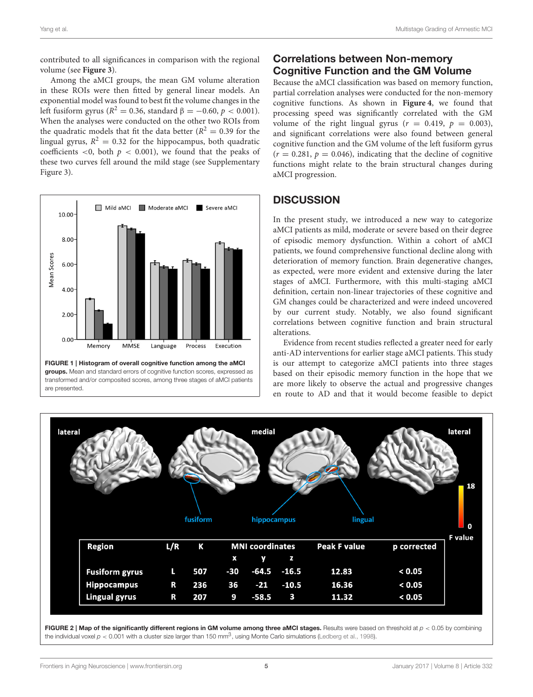contributed to all significances in comparison with the regional volume (see **[Figure 3](#page-5-0)**).

Among the aMCI groups, the mean GM volume alteration in these ROIs were then fitted by general linear models. An exponential model was found to best fit the volume changes in the left fusiform gyrus ( $R^2=0.36$ , standard  $\beta=-0.60,\, p< 0.001$ ). When the analyses were conducted on the other two ROIs from the quadratic models that fit the data better ( $R^2 = 0.39$  for the lingual gyrus,  $R^2 = 0.32$  for the hippocampus, both quadratic coefficients <0, both  $p < 0.001$ ), we found that the peaks of these two curves fell around the mild stage (see Supplementary Figure 3).



<span id="page-4-0"></span>FIGURE 1 | Histogram of overall cognitive function among the aMCI groups. Mean and standard errors of cognitive function scores, expressed as transformed and/or composited scores, among three stages of aMCI patients are presented.

# Correlations between Non-memory Cognitive Function and the GM Volume

Because the aMCI classification was based on memory function, partial correlation analyses were conducted for the non-memory cognitive functions. As shown in **[Figure 4](#page-5-1)**, we found that processing speed was significantly correlated with the GM volume of the right lingual gyrus ( $r = 0.419$ ,  $p = 0.003$ ), and significant correlations were also found between general cognitive function and the GM volume of the left fusiform gyrus  $(r = 0.281, p = 0.046)$ , indicating that the decline of cognitive functions might relate to the brain structural changes during aMCI progression.

### **DISCUSSION**

In the present study, we introduced a new way to categorize aMCI patients as mild, moderate or severe based on their degree of episodic memory dysfunction. Within a cohort of aMCI patients, we found comprehensive functional decline along with deterioration of memory function. Brain degenerative changes, as expected, were more evident and extensive during the later stages of aMCI. Furthermore, with this multi-staging aMCI definition, certain non-linear trajectories of these cognitive and GM changes could be characterized and were indeed uncovered by our current study. Notably, we also found significant correlations between cognitive function and brain structural alterations.

Evidence from recent studies reflected a greater need for early anti-AD interventions for earlier stage aMCI patients. This study is our attempt to categorize aMCI patients into three stages based on their episodic memory function in the hope that we are more likely to observe the actual and progressive changes en route to AD and that it would become feasible to depict



<span id="page-4-1"></span>FIGURE 2 | Map of the significantly different regions in GM volume among three aMCI stages. Results were based on threshold at  $p < 0.05$  by combining the individual voxel  $p < 0.001$  with a cluster size larger than 150 mm<sup>3</sup>, using Monte Carlo simulations [\(Ledberg et al., 1998\)](#page-7-23).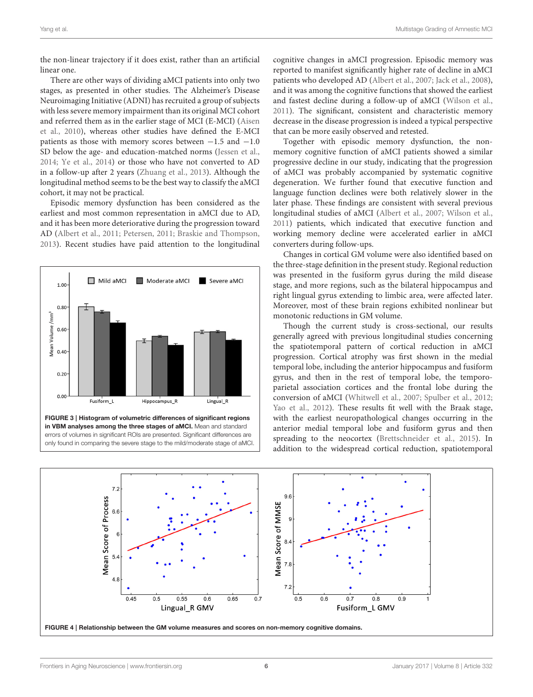the non-linear trajectory if it does exist, rather than an artificial linear one.

There are other ways of dividing aMCI patients into only two stages, as presented in other studies. The Alzheimer's Disease Neuroimaging Initiative (ADNI) has recruited a group of subjects with less severe memory impairment than its original MCI cohort and referred them as in the earlier stage of MCI (E-MCI) (Aisen et al., [2010\)](#page-6-0), whereas other studies have defined the E-MCI patients as those with memory scores between  $-1.5$  and  $-1.0$ SD below the age- and education-matched norms [\(Jessen et al.,](#page-7-14) [2014;](#page-7-14) [Ye et al., 2014\)](#page-7-12) or those who have not converted to AD in a follow-up after 2 years [\(Zhuang et al., 2013\)](#page-7-13). Although the longitudinal method seems to be the best way to classify the aMCI cohort, it may not be practical.

Episodic memory dysfunction has been considered as the earliest and most common representation in aMCI due to AD, and it has been more deteriorative during the progression toward AD [\(Albert et al., 2011;](#page-6-1) [Petersen, 2011;](#page-7-1) [Braskie and Thompson,](#page-6-4) [2013\)](#page-6-4). Recent studies have paid attention to the longitudinal



cognitive changes in aMCI progression. Episodic memory was reported to manifest significantly higher rate of decline in aMCI patients who developed AD [\(Albert et al., 2007;](#page-6-5) [Jack et al., 2008\)](#page-7-7), and it was among the cognitive functions that showed the earliest and fastest decline during a follow-up of aMCI [\(Wilson et al.,](#page-7-24) [2011\)](#page-7-24). The significant, consistent and characteristic memory decrease in the disease progression is indeed a typical perspective that can be more easily observed and retested.

Together with episodic memory dysfunction, the nonmemory cognitive function of aMCI patients showed a similar progressive decline in our study, indicating that the progression of aMCI was probably accompanied by systematic cognitive degeneration. We further found that executive function and language function declines were both relatively slower in the later phase. These findings are consistent with several previous longitudinal studies of aMCI [\(Albert et al., 2007;](#page-6-5) [Wilson et al.,](#page-7-24) [2011\)](#page-7-24) patients, which indicated that executive function and working memory decline were accelerated earlier in aMCI converters during follow-ups.

Changes in cortical GM volume were also identified based on the three-stage definition in the present study. Regional reduction was presented in the fusiform gyrus during the mild disease stage, and more regions, such as the bilateral hippocampus and right lingual gyrus extending to limbic area, were affected later. Moreover, most of these brain regions exhibited nonlinear but monotonic reductions in GM volume.

Though the current study is cross-sectional, our results generally agreed with previous longitudinal studies concerning the spatiotemporal pattern of cortical reduction in aMCI progression. Cortical atrophy was first shown in the medial temporal lobe, including the anterior hippocampus and fusiform gyrus, and then in the rest of temporal lobe, the temporoparietal association cortices and the frontal lobe during the conversion of aMCI [\(Whitwell et al., 2007;](#page-7-25) [Spulber et al., 2012;](#page-7-26) [Yao et al., 2012\)](#page-7-27). These results fit well with the Braak stage, with the earliest neuropathological changes occurring in the anterior medial temporal lobe and fusiform gyrus and then spreading to the neocortex [\(Brettschneider et al., 2015\)](#page-6-6). In addition to the widespread cortical reduction, spatiotemporal

<span id="page-5-1"></span><span id="page-5-0"></span>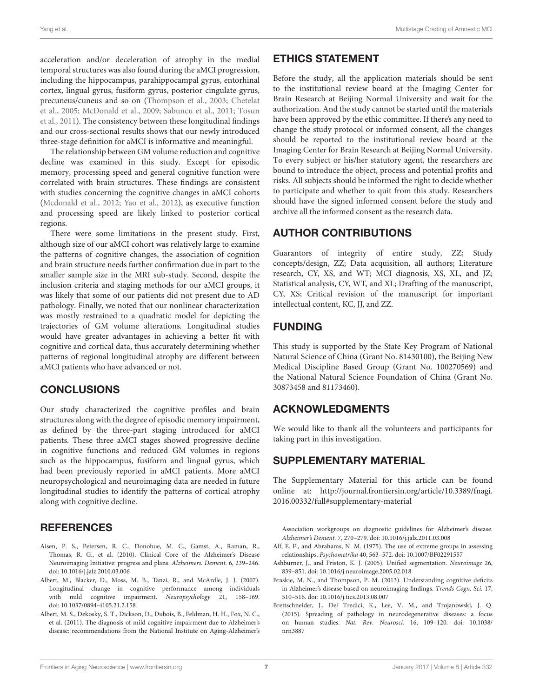acceleration and/or deceleration of atrophy in the medial temporal structures was also found during the aMCI progression, including the hippocampus, parahippocampal gyrus, entorhinal cortex, lingual gyrus, fusiform gyrus, posterior cingulate gyrus, precuneus/cuneus and so on [\(Thompson et al., 2003;](#page-7-5) Chetelat et al., [2005;](#page-7-6) [McDonald et al., 2009;](#page-7-28) [Sabuncu et al., 2011;](#page-7-29) Tosun et al., [2011\)](#page-7-30). The consistency between these longitudinal findings and our cross-sectional results shows that our newly introduced three-stage definition for aMCI is informative and meaningful.

The relationship between GM volume reduction and cognitive decline was examined in this study. Except for episodic memory, processing speed and general cognitive function were correlated with brain structures. These findings are consistent with studies concerning the cognitive changes in aMCI cohorts [\(Mcdonald et al., 2012;](#page-7-31) [Yao et al., 2012\)](#page-7-27), as executive function and processing speed are likely linked to posterior cortical regions.

There were some limitations in the present study. First, although size of our aMCI cohort was relatively large to examine the patterns of cognitive changes, the association of cognition and brain structure needs further confirmation due in part to the smaller sample size in the MRI sub-study. Second, despite the inclusion criteria and staging methods for our aMCI groups, it was likely that some of our patients did not present due to AD pathology. Finally, we noted that our nonlinear characterization was mostly restrained to a quadratic model for depicting the trajectories of GM volume alterations. Longitudinal studies would have greater advantages in achieving a better fit with cognitive and cortical data, thus accurately determining whether patterns of regional longitudinal atrophy are different between aMCI patients who have advanced or not.

### **CONCLUSIONS**

Our study characterized the cognitive profiles and brain structures along with the degree of episodic memory impairment, as defined by the three-part staging introduced for aMCI patients. These three aMCI stages showed progressive decline in cognitive functions and reduced GM volumes in regions such as the hippocampus, fusiform and lingual gyrus, which had been previously reported in aMCI patients. More aMCI neuropsychological and neuroimaging data are needed in future longitudinal studies to identify the patterns of cortical atrophy along with cognitive decline.

### **REFERENCES**

- <span id="page-6-0"></span>Aisen, P. S., Petersen, R. C., Donohue, M. C., Gamst, A., Raman, R., Thomas, R. G., et al. (2010). Clinical Core of the Alzheimer's Disease Neuroimaging Initiative: progress and plans. Alzheimers. Dement. 6, 239–246. doi: [10.1016/j.jalz.2010.03.006](https://doi.org/10.1016/j.jalz.2010.03.006)
- <span id="page-6-5"></span>Albert, M., Blacker, D., Moss, M. B., Tanzi, R., and McArdle, J. J. (2007). Longitudinal change in cognitive performance among individuals with mild cognitive impairment. Neuropsychology 21, 158–169. doi: [10.1037/0894-4105.21.2.158](https://doi.org/10.1037/0894-4105.21.2.158)
- <span id="page-6-1"></span>Albert, M. S., Dekosky, S. T., Dickson, D., Dubois, B., Feldman, H. H., Fox, N. C., et al. (2011). The diagnosis of mild cognitive impairment due to Alzheimer's disease: recommendations from the National Institute on Aging-Alzheimer's

# ETHICS STATEMENT

Before the study, all the application materials should be sent to the institutional review board at the Imaging Center for Brain Research at Beijing Normal University and wait for the authorization. And the study cannot be started until the materials have been approved by the ethic committee. If there's any need to change the study protocol or informed consent, all the changes should be reported to the institutional review board at the Imaging Center for Brain Research at Beijing Normal University. To every subject or his/her statutory agent, the researchers are bound to introduce the object, process and potential profits and risks. All subjects should be informed the right to decide whether to participate and whether to quit from this study. Researchers should have the signed informed consent before the study and archive all the informed consent as the research data.

### AUTHOR CONTRIBUTIONS

Guarantors of integrity of entire study, ZZ; Study concepts/design, ZZ; Data acquisition, all authors; Literature research, CY, XS, and WT; MCI diagnosis, XS, XL, and JZ; Statistical analysis, CY, WT, and XL; Drafting of the manuscript, CY, XS; Critical revision of the manuscript for important intellectual content, KC, JJ, and ZZ.

# FUNDING

This study is supported by the State Key Program of National Natural Science of China (Grant No. 81430100), the Beijing New Medical Discipline Based Group (Grant No. 100270569) and the National Natural Science Foundation of China (Grant No. 30873458 and 81173460).

### ACKNOWLEDGMENTS

We would like to thank all the volunteers and participants for taking part in this investigation.

# SUPPLEMENTARY MATERIAL

The Supplementary Material for this article can be found [online at: http://journal.frontiersin.org/article/10.3389/fnagi.](http://journal.frontiersin.org/article/10.3389/fnagi.2016.00332/full#supplementary-material) 2016.00332/full#supplementary-material

Association workgroups on diagnostic guidelines for Alzheimer's disease. Alzheimer's Dement. 7, 270–279. doi: [10.1016/j.jalz.2011.03.008](https://doi.org/10.1016/j.jalz.2011.03.008)

- <span id="page-6-2"></span>Alf, E. F., and Abrahams, N. M. (1975). The use of extreme groups in assessing relationships. Psychometrika 40, 563–572. doi: [10.1007/BF02291557](https://doi.org/10.1007/BF02291557)
- <span id="page-6-3"></span>Ashburner, J., and Friston, K. J. (2005). Unified segmentation. Neuroimage 26, 839–851. doi: [10.1016/j.neuroimage.2005.02.018](https://doi.org/10.1016/j.neuroimage.2005.02.018)
- <span id="page-6-4"></span>Braskie, M. N., and Thompson, P. M. (2013). Understanding cognitive deficits in Alzheimer's disease based on neuroimaging findings. Trends Cogn. Sci. 17, 510–516. doi: [10.1016/j.tics.2013.08.007](https://doi.org/10.1016/j.tics.2013.08.007)
- <span id="page-6-6"></span>Brettschneider, J., Del Tredici, K., Lee, V. M., and Trojanowski, J. Q. (2015). Spreading of pathology in neurodegenerative diseases: a focus on human studies. Nat. Rev. Neurosci. [16, 109–120. doi: 10.1038/](https://doi.org/10.1038/nrn3887) nrn3887